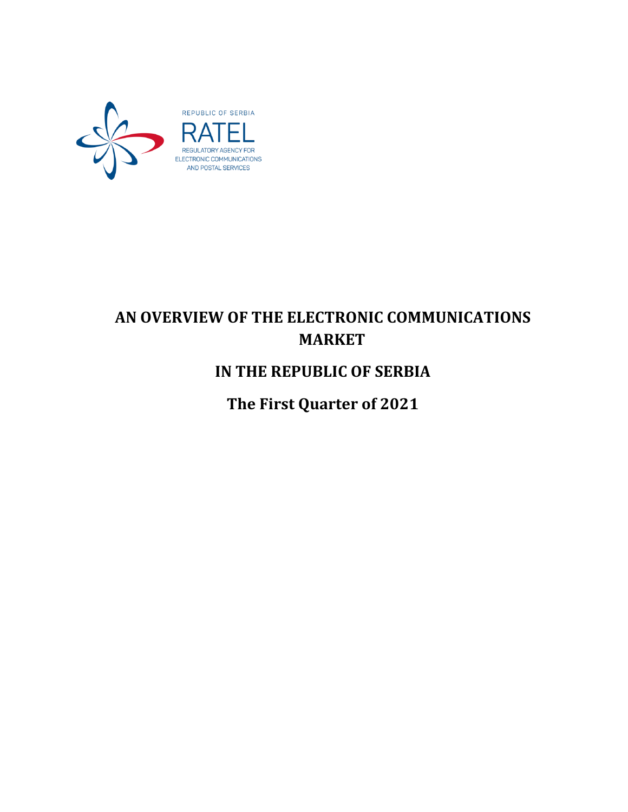

# **AN OVERVIEW OF THE ELECTRONIC COMMUNICATIONS MARKET**

## **IN THE REPUBLIC OF SERBIA**

**The First Quarter of 2021**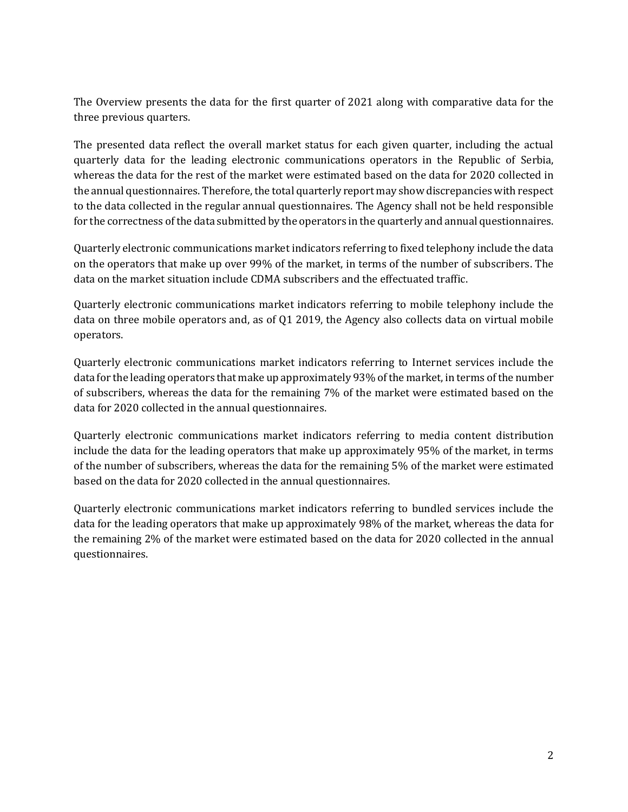The Overview presents the data for the first quarter of 2021 along with comparative data for the three previous quarters.

The presented data reflect the overall market status for each given quarter, including the actual quarterly data for the leading electronic communications operators in the Republic of Serbia, whereas the data for the rest of the market were estimated based on the data for 2020 collected in the annual questionnaires. Therefore, the total quarterly report may show discrepancies with respect to the data collected in the regular annual questionnaires. The Agency shall not be held responsible for the correctness of the data submitted by the operators in the quarterly and annual questionnaires.

Quarterly electronic communications market indicators referring to fixed telephony include the data on the operators that make up over 99% of the market, in terms of the number of subscribers. The data on the market situation include CDMA subscribers and the effectuated traffic.

Quarterly electronic communications market indicators referring to mobile telephony include the data on three mobile operators and, as of Q1 2019, the Agency also collects data on virtual mobile operators.

Quarterly electronic communications market indicators referring to Internet services include the data for the leading operators that make up approximately 93% of the market, in terms of the number of subscribers, whereas the data for the remaining 7% of the market were estimated based on the data for 2020 collected in the annual questionnaires.

Quarterly electronic communications market indicators referring to media content distribution include the data for the leading operators that make up approximately 95% of the market, in terms of the number of subscribers, whereas the data for the remaining 5% of the market were estimated based on the data for 2020 collected in the annual questionnaires.

Quarterly electronic communications market indicators referring to bundled services include the data for the leading operators that make up approximately 98% of the market, whereas the data for the remaining 2% of the market were estimated based on the data for 2020 collected in the annual questionnaires.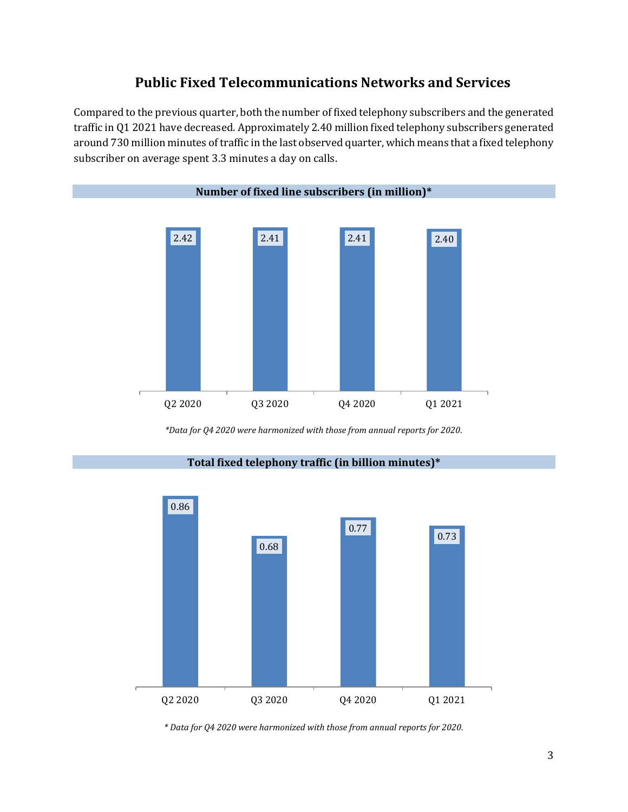### **Public Fixed Telecommunications Networks and Services**

Compared to the previous quarter, both the number of fixed telephony subscribers and the generated traffic in Q1 2021 have decreased. Approximately 2.40 million fixed telephony subscribers generated around 730 million minutes of traffic in the last observed quarter, which means that a fixed telephony subscriber on average spent 3.3 minutes a day on calls.



*\*Data for Q4 2020 were harmonized with those from annual reports for 2020.*



**Total fixed telephony traffic (in billion minutes)\***

*\* Data for Q4 2020 were harmonized with those from annual reports for 2020.*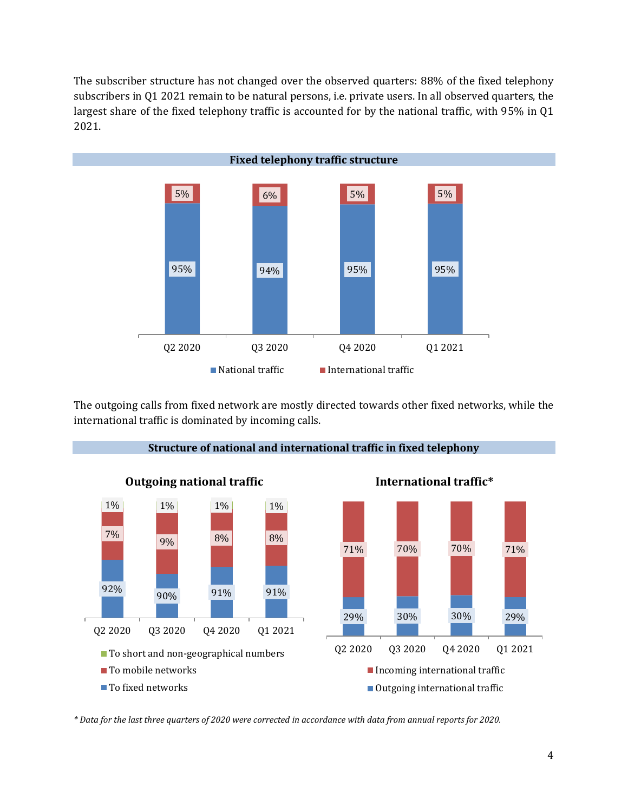The subscriber structure has not changed over the observed quarters: 88% of the fixed telephony subscribers in Q1 2021 remain to be natural persons, i.e. private users. In all observed quarters, the largest share of the fixed telephony traffic is accounted for by the national traffic, with 95% in Q1 2021.



The outgoing calls from fixed network are mostly directed towards other fixed networks, while the international traffic is dominated by incoming calls.



**Structure of national and international traffic in fixed telephony**

*\* Data for the last three quarters of 2020 were corrected in accordance with data from annual reports for 2020.*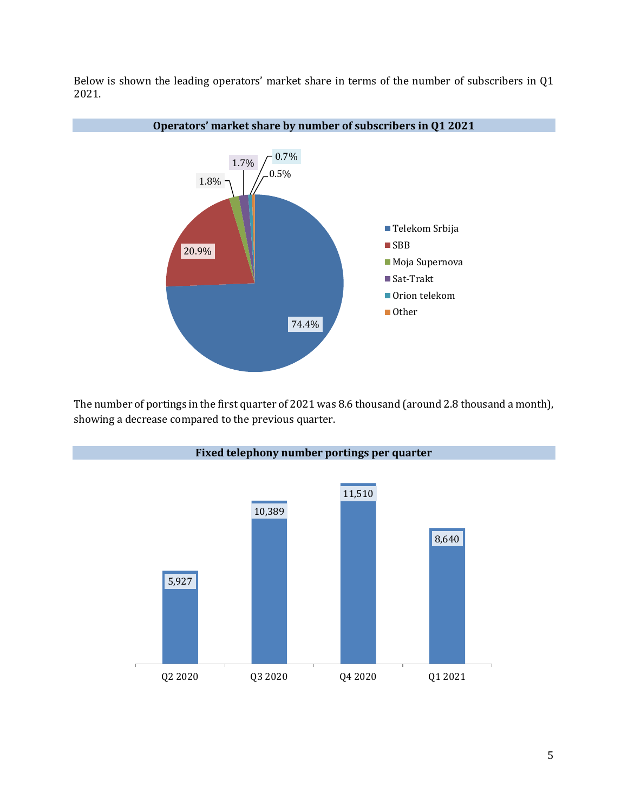Below is shown the leading operators' market share in terms of the number of subscribers in Q1 2021.



#### **Operators' market share by number of subscribers in Q1 2021**

The number of portings in the first quarter of 2021 was 8.6 thousand (around 2.8 thousand a month), showing a decrease compared to the previous quarter.

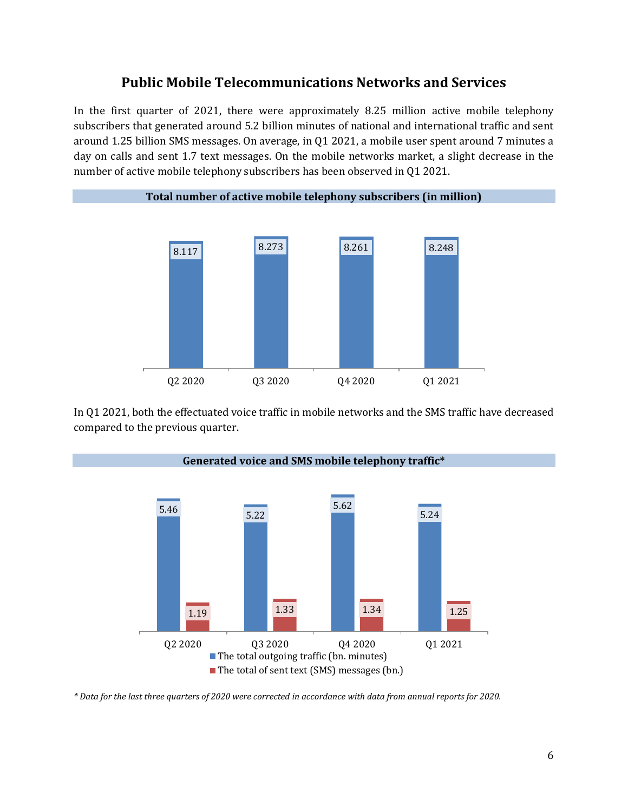### **Public Mobile Telecommunications Networks and Services**

In the first quarter of 2021, there were approximately 8.25 million active mobile telephony subscribers that generated around 5.2 billion minutes of national and international traffic and sent around 1.25 billion SMS messages. On average, in Q1 2021, a mobile user spent around 7 minutes a day on calls and sent 1.7 text messages. On the mobile networks market, a slight decrease in the number of active mobile telephony subscribers has been observed in Q1 2021.



In Q1 2021, both the effectuated voice traffic in mobile networks and the SMS traffic have decreased compared to the previous quarter.



*\* Data for the last three quarters of 2020 were corrected in accordance with data from annual reports for 2020.*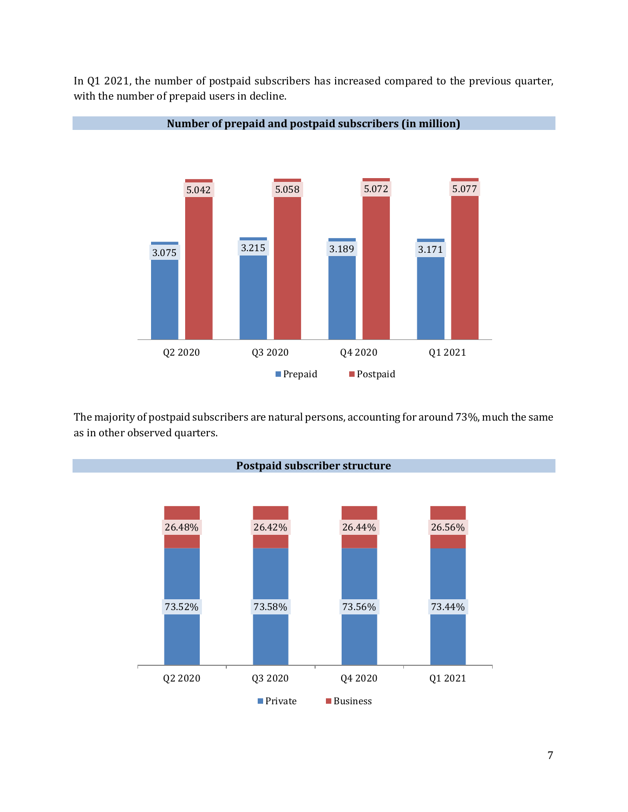In Q1 2021, the number of postpaid subscribers has increased compared to the previous quarter, with the number of prepaid users in decline.



The majority of postpaid subscribers are natural persons, accounting for around 73%, much the same as in other observed quarters.



**Number of prepaid and postpaid subscribers (in million)**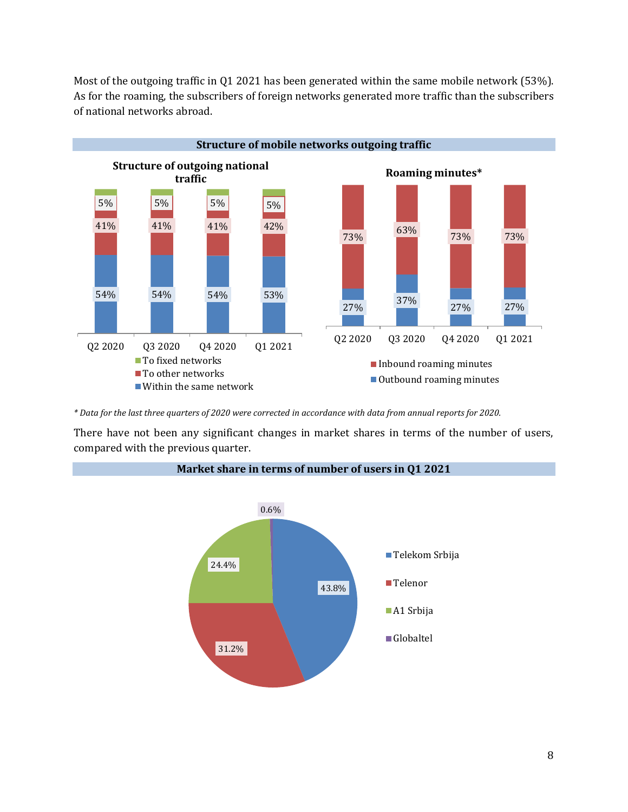Most of the outgoing traffic in Q1 2021 has been generated within the same mobile network (53%). As for the roaming, the subscribers of foreign networks generated more traffic than the subscribers of national networks abroad.



*\* Data for the last three quarters of 2020 were corrected in accordance with data from annual reports for 2020.*

There have not been any significant changes in market shares in terms of the number of users, compared with the previous quarter.



#### **Market share in terms of number of users in Q1 2021**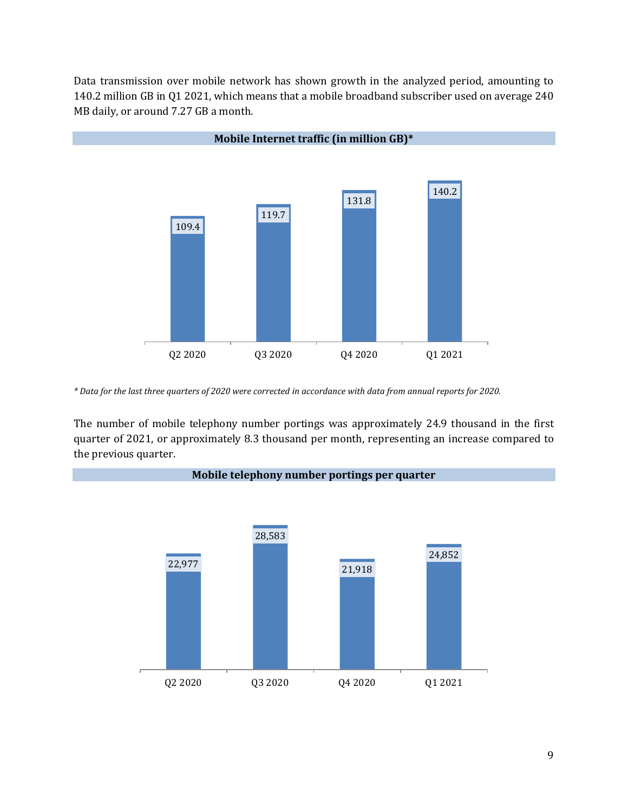Data transmission over mobile network has shown growth in the analyzed period, amounting to 140.2 million GB in Q1 2021, which means that a mobile broadband subscriber used on average 240 MB daily, or around 7.27 GB a month.



*\* Data for the last three quarters of 2020 were corrected in accordance with data from annual reports for 2020.*

The number of mobile telephony number portings was approximately 24.9 thousand in the first quarter of 2021, or approximately 8.3 thousand per month, representing an increase compared to the previous quarter.

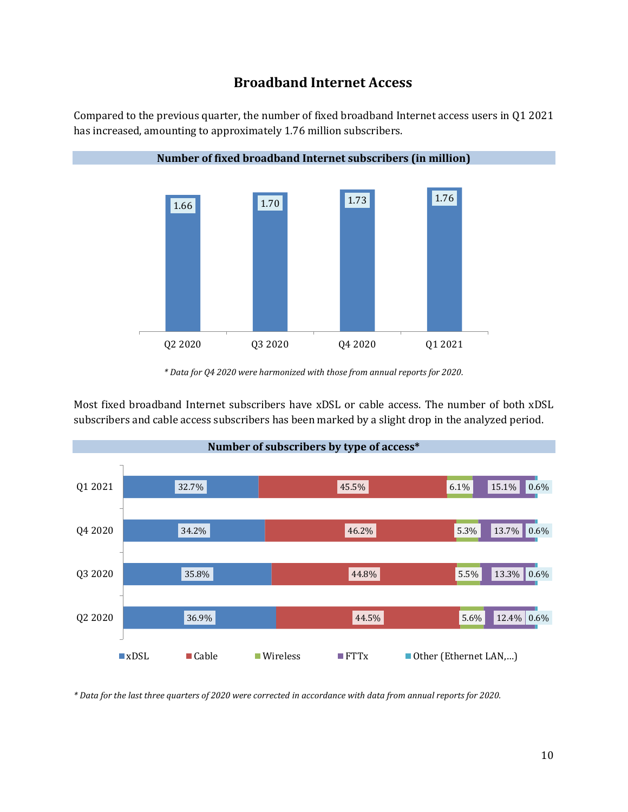### **Broadband Internet Access**

Compared to the previous quarter, the number of fixed broadband Internet access users in Q1 2021 has increased, amounting to approximately 1.76 million subscribers.



*\* Data for Q4 2020 were harmonized with those from annual reports for 2020.*

Most fixed broadband Internet subscribers have xDSL or cable access. The number of both xDSL subscribers and cable access subscribers has been marked by a slight drop in the analyzed period.



*\* Data for the last three quarters of 2020 were corrected in accordance with data from annual reports for 2020.*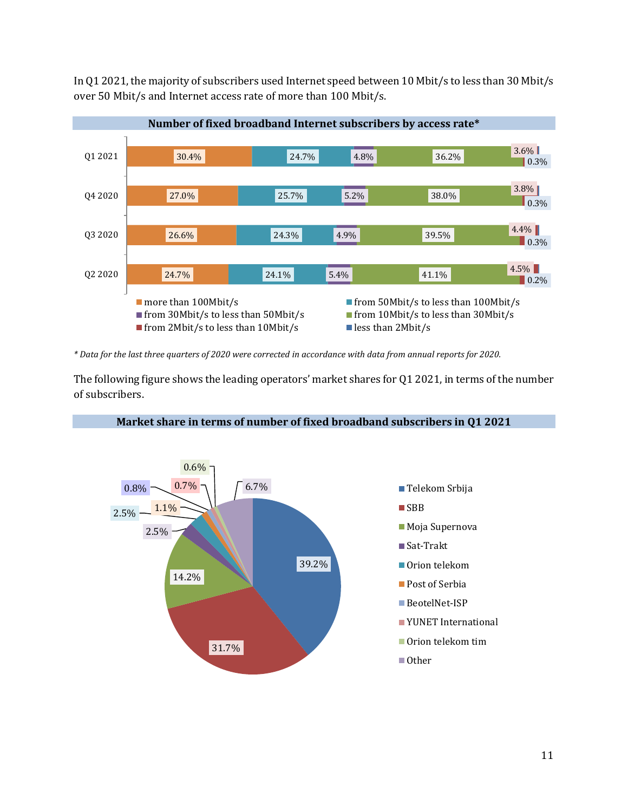In Q1 2021, the majority of subscribers used Internet speed between 10 Mbit/s to less than 30 Mbit/s over 50 Mbit/s and Internet access rate of more than 100 Mbit/s.



*\* Data for the last three quarters of 2020 were corrected in accordance with data from annual reports for 2020.*

The following figure shows the leading operators' market shares for Q1 2021, in terms of the number of subscribers.



#### **Market share in terms of number of fixed broadband subscribers in Q1 2021**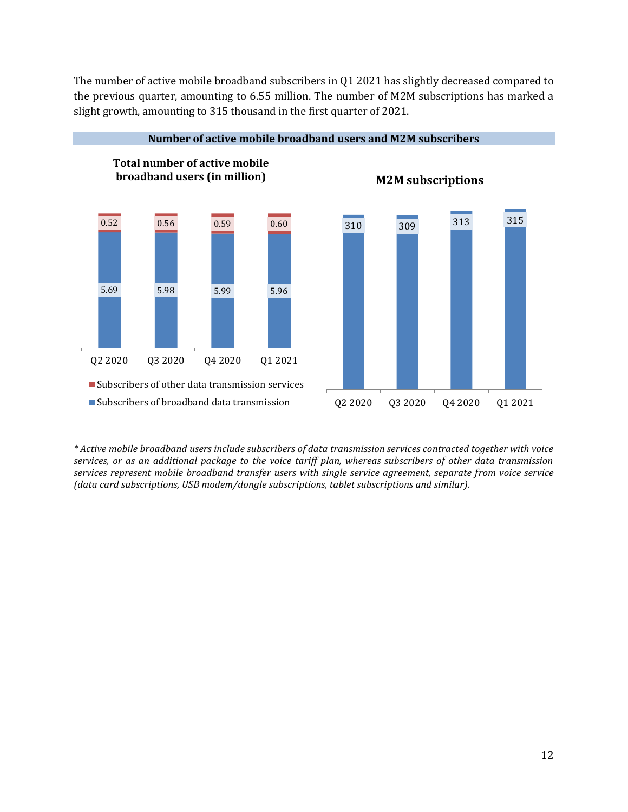The number of active mobile broadband subscribers in Q1 2021 has slightly decreased compared to the previous quarter, amounting to 6.55 million. The number of M2M subscriptions has marked a slight growth, amounting to 315 thousand in the first quarter of 2021.



**Number of active mobile broadband users and M2M subscribers**

*\* Active mobile broadband users include subscribers of data transmission services contracted together with voice services, or as an additional package to the voice tariff plan, whereas subscribers of other data transmission services represent mobile broadband transfer users with single service agreement, separate from voice service (data card subscriptions, USB modem/dongle subscriptions, tablet subscriptions and similar).*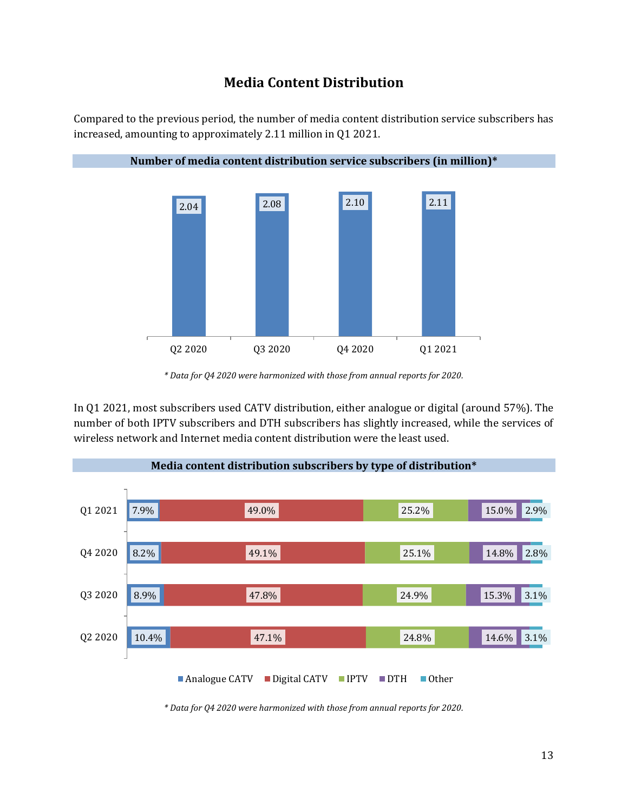### **Media Content Distribution**

Compared to the previous period, the number of media content distribution service subscribers has increased, amounting to approximately 2.11 million in Q1 2021.



*\* Data for Q4 2020 were harmonized with those from annual reports for 2020.*

In Q1 2021, most subscribers used CATV distribution, either analogue or digital (around 57%). The number of both IPTV subscribers and DTH subscribers has slightly increased, while the services of wireless network and Internet media content distribution were the least used.



*\* Data for Q4 2020 were harmonized with those from annual reports for 2020.*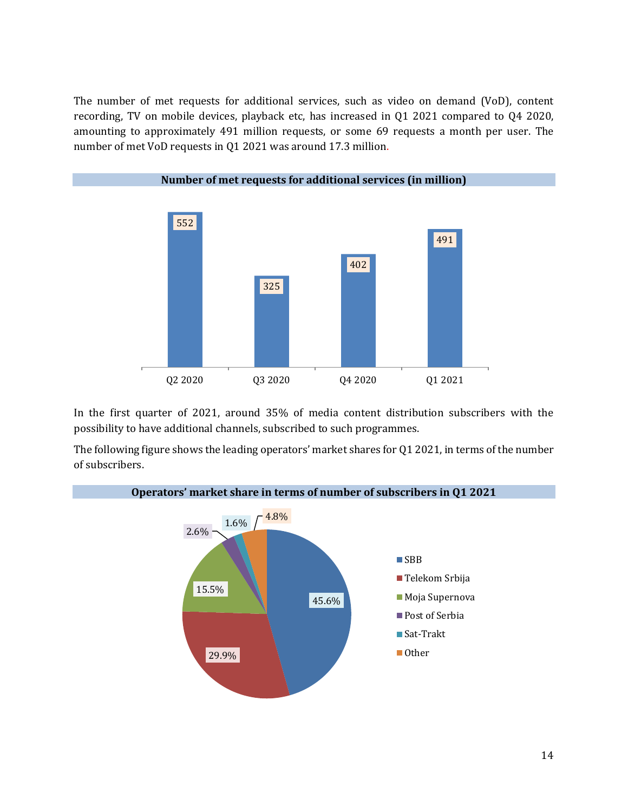The number of met requests for additional services, such as video on demand (VoD), content recording, TV on mobile devices, playback etc, has increased in Q1 2021 compared to Q4 2020, amounting to approximately 491 million requests, or some 69 requests a month per user. The number of met VoD requests in Q1 2021 was around 17.3 million.



In the first quarter of 2021, around 35% of media content distribution subscribers with the possibility to have additional channels, subscribed to such programmes.

The following figure shows the leading operators' market shares for Q1 2021, in terms of the number of subscribers.

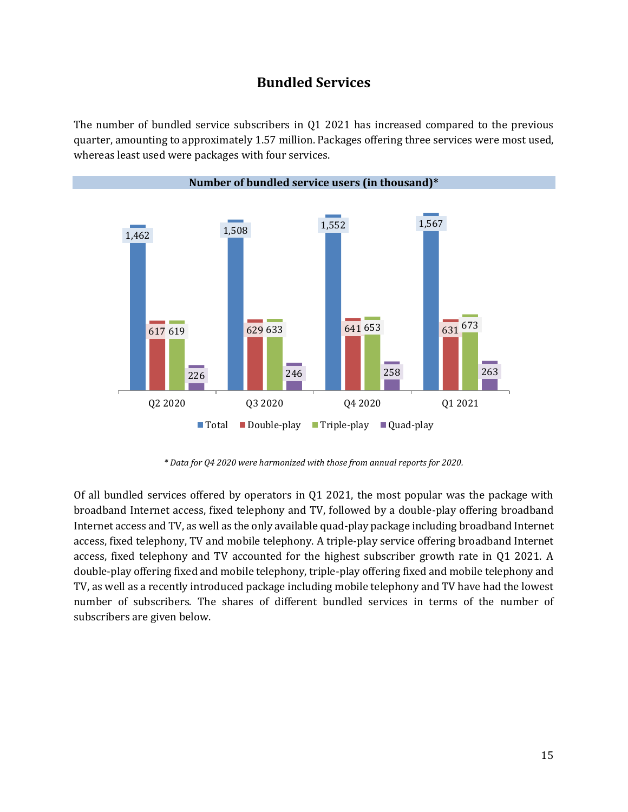### **Bundled Services**

The number of bundled service subscribers in Q1 2021 has increased compared to the previous quarter, amounting to approximately 1.57 million. Packages offering three services were most used, whereas least used were packages with four services.



*\* Data for Q4 2020 were harmonized with those from annual reports for 2020.*

Of all bundled services offered by operators in  $Q1$  2021, the most popular was the package with broadband Internet access, fixed telephony and TV, followed by a double-play offering broadband Internet access and TV, as well as the only available quad-play package including broadband Internet access, fixed telephony, TV and mobile telephony. A triple-play service offering broadband Internet access, fixed telephony and TV accounted for the highest subscriber growth rate in Q1 2021. A double-play offering fixed and mobile telephony, triple-play offering fixed and mobile telephony and TV, as well as a recently introduced package including mobile telephony and TV have had the lowest number of subscribers. The shares of different bundled services in terms of the number of subscribers are given below.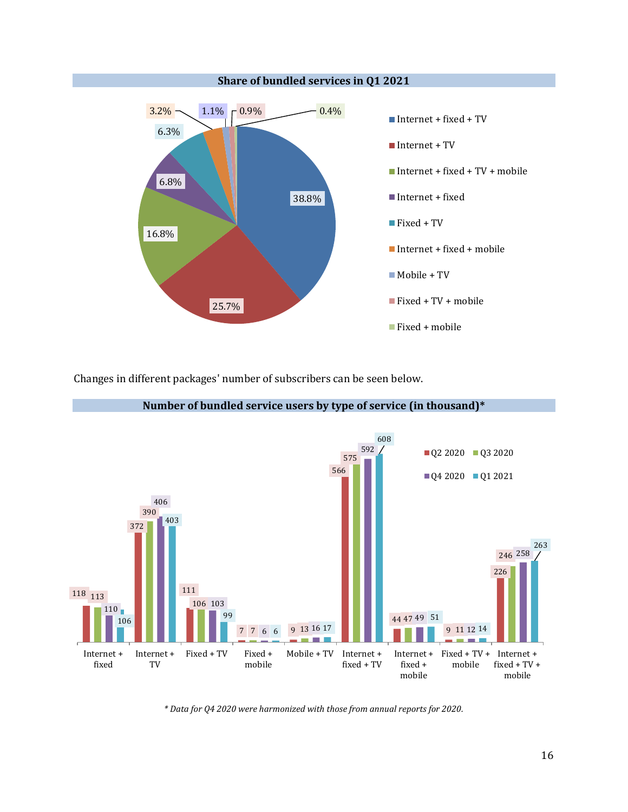

Changes in different packages' number of subscribers can be seen below.



**Number of bundled service users by type of service (in thousand)\***

*\* Data for Q4 2020 were harmonized with those from annual reports for 2020.*